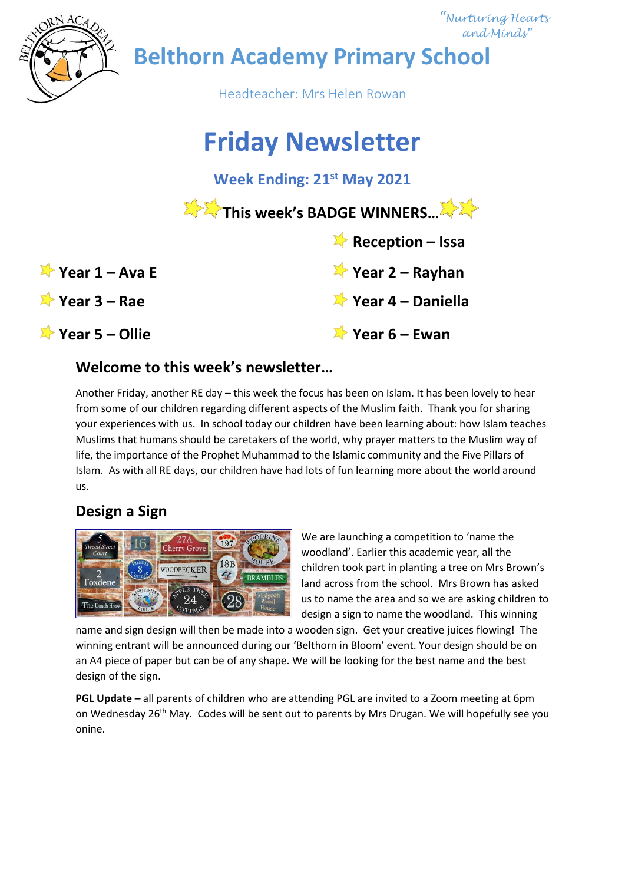

## **Welcome to this week's newsletter…**

Another Friday, another RE day – this week the focus has been on Islam. It has been lovely to hear from some of our children regarding different aspects of the Muslim faith. Thank you for sharing your experiences with us. In school today our children have been learning about: how Islam teaches Muslims that humans should be caretakers of the world, why prayer matters to the Muslim way of life, the importance of the Prophet Muhammad to the Islamic community and the Five Pillars of Islam. As with all RE days, our children have had lots of fun learning more about the world around us.

# **Design a Sign**



We are launching a competition to 'name the woodland'. Earlier this academic year, all the children took part in planting a tree on Mrs Brown's land across from the school. Mrs Brown has asked us to name the area and so we are asking children to design a sign to name the woodland. This winning

name and sign design will then be made into a wooden sign. Get your creative juices flowing! The winning entrant will be announced during our 'Belthorn in Bloom' event. Your design should be on an A4 piece of paper but can be of any shape. We will be looking for the best name and the best design of the sign.

**PGL Update –** all parents of children who are attending PGL are invited to a Zoom meeting at 6pm on Wednesday 26<sup>th</sup> May. Codes will be sent out to parents by Mrs Drugan. We will hopefully see you onine.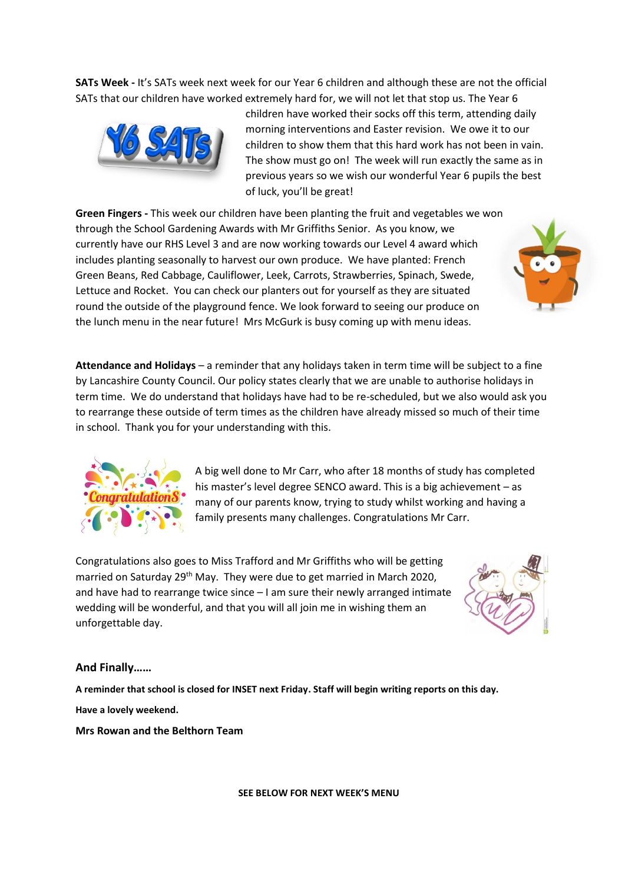**SATs Week -** It's SATs week next week for our Year 6 children and although these are not the official SATs that our children have worked extremely hard for, we will not let that stop us. The Year 6



children have worked their socks off this term, attending daily morning interventions and Easter revision. We owe it to our children to show them that this hard work has not been in vain. The show must go on! The week will run exactly the same as in previous years so we wish our wonderful Year 6 pupils the best of luck, you'll be great!

**Green Fingers -** This week our children have been planting the fruit and vegetables we won through the School Gardening Awards with Mr Griffiths Senior. As you know, we currently have our RHS Level 3 and are now working towards our Level 4 award which includes planting seasonally to harvest our own produce. We have planted: French Green Beans, Red Cabbage, Cauliflower, Leek, Carrots, Strawberries, Spinach, Swede, Lettuce and Rocket. You can check our planters out for yourself as they are situated round the outside of the playground fence. We look forward to seeing our produce on the lunch menu in the near future! Mrs McGurk is busy coming up with menu ideas.

**Attendance and Holidays** – a reminder that any holidays taken in term time will be subject to a fine by Lancashire County Council. Our policy states clearly that we are unable to authorise holidays in term time. We do understand that holidays have had to be re-scheduled, but we also would ask you to rearrange these outside of term times as the children have already missed so much of their time in school. Thank you for your understanding with this.



A big well done to Mr Carr, who after 18 months of study has completed his master's level degree SENCO award. This is a big achievement – as many of our parents know, trying to study whilst working and having a family presents many challenges. Congratulations Mr Carr.

Congratulations also goes to Miss Trafford and Mr Griffiths who will be getting married on Saturday 29<sup>th</sup> May. They were due to get married in March 2020, and have had to rearrange twice since – I am sure their newly arranged intimate wedding will be wonderful, and that you will all join me in wishing them an unforgettable day.



#### **And Finally……**

**A reminder that school is closed for INSET next Friday. Staff will begin writing reports on this day. Have a lovely weekend.** 

#### **Mrs Rowan and the Belthorn Team**

**SEE BELOW FOR NEXT WEEK'S MENU**